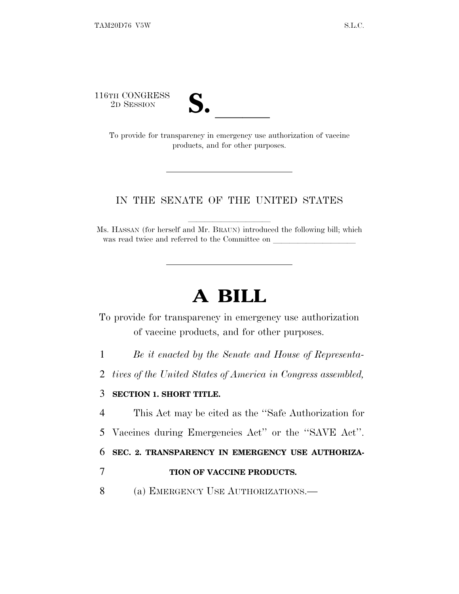116TH CONGRESS<br>2D SESSION



TH CONGRESS<br>
2D SESSION<br>
To provide for transparency in emergency use authorization of vaccine products, and for other purposes.

## IN THE SENATE OF THE UNITED STATES

Ms. HASSAN (for herself and Mr. BRAUN) introduced the following bill; which was read twice and referred to the Committee on

## **A BILL**

To provide for transparency in emergency use authorization of vaccine products, and for other purposes.

1 *Be it enacted by the Senate and House of Representa-*

2 *tives of the United States of America in Congress assembled,* 

## 3 **SECTION 1. SHORT TITLE.**

4 This Act may be cited as the ''Safe Authorization for

5 Vaccines during Emergencies Act'' or the ''SAVE Act''.

6 **SEC. 2. TRANSPARENCY IN EMERGENCY USE AUTHORIZA-**

## 7 **TION OF VACCINE PRODUCTS.**

8 (a) EMERGENCY USE AUTHORIZATIONS.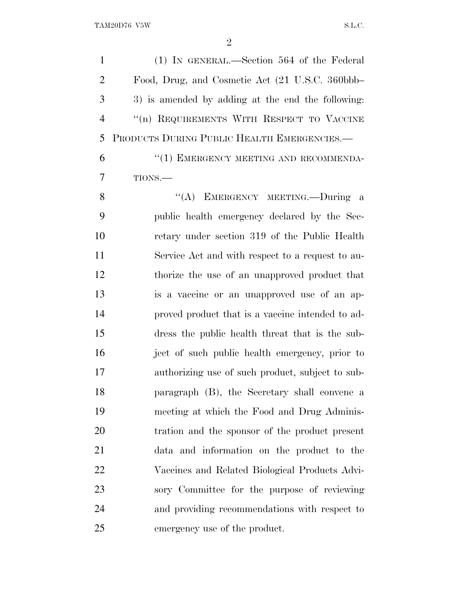(1) IN GENERAL.—Section 564 of the Federal Food, Drug, and Cosmetic Act (21 U.S.C. 360bbb– 3) is amended by adding at the end the following: ''(n) REQUIREMENTS WITH RESPECT TO VACCINE PRODUCTS DURING PUBLIC HEALTH EMERGENCIES.—

6 "(1) EMERGENCY MEETING AND RECOMMENDA-TIONS.—

8 "(A) EMERGENCY MEETING.—During a public health emergency declared by the Sec- retary under section 319 of the Public Health Service Act and with respect to a request to au- thorize the use of an unapproved product that is a vaccine or an unapproved use of an ap- proved product that is a vaccine intended to ad- dress the public health threat that is the sub- ject of such public health emergency, prior to authorizing use of such product, subject to sub- paragraph (B), the Secretary shall convene a meeting at which the Food and Drug Adminis- tration and the sponsor of the product present data and information on the product to the Vaccines and Related Biological Products Advi- sory Committee for the purpose of reviewing and providing recommendations with respect to emergency use of the product.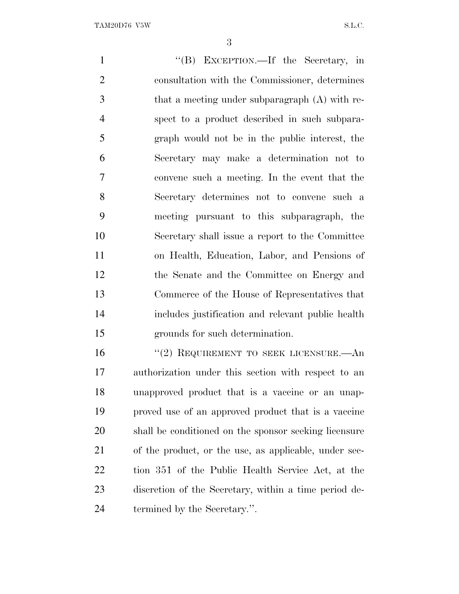''(B) EXCEPTION.—If the Secretary, in consultation with the Commissioner, determines that a meeting under subparagraph (A) with re- spect to a product described in such subpara- graph would not be in the public interest, the Secretary may make a determination not to convene such a meeting. In the event that the Secretary determines not to convene such a meeting pursuant to this subparagraph, the Secretary shall issue a report to the Committee on Health, Education, Labor, and Pensions of the Senate and the Committee on Energy and Commerce of the House of Representatives that includes justification and relevant public health grounds for such determination. 16 "(2) REQUIREMENT TO SEEK LICENSURE.—An

 authorization under this section with respect to an unapproved product that is a vaccine or an unap- proved use of an approved product that is a vaccine shall be conditioned on the sponsor seeking licensure of the product, or the use, as applicable, under sec- tion 351 of the Public Health Service Act, at the discretion of the Secretary, within a time period de-termined by the Secretary.''.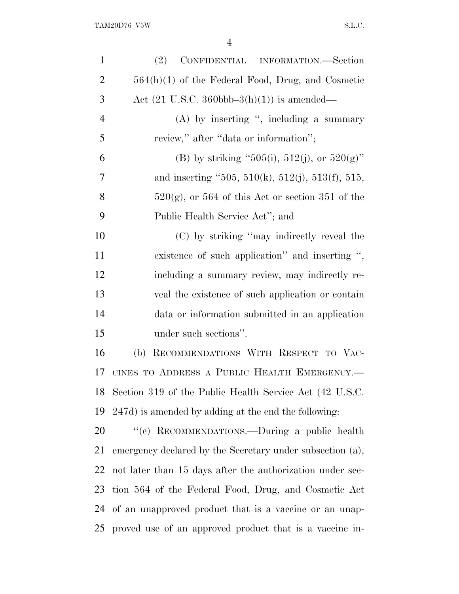| $\mathbf{1}$   | CONFIDENTIAL INFORMATION.—Section<br>(2)                        |
|----------------|-----------------------------------------------------------------|
| $\overline{2}$ | $564(h)(1)$ of the Federal Food, Drug, and Cosmetic             |
| 3              | Act $(21 \text{ U.S.C. } 360 \text{bbb} - 3(h)(1))$ is amended— |
| $\overline{4}$ | $(A)$ by inserting ", including a summary                       |
| 5              | review," after "data or information";                           |
| 6              | (B) by striking "505(i), 512(j), or 520(g)"                     |
| 7              | and inserting "505, 510(k), 512(j), 513(f), 515,                |
| 8              | $520(g)$ , or 564 of this Act or section 351 of the             |
| 9              | Public Health Service Act"; and                                 |
| 10             | (C) by striking "may indirectly reveal the                      |
| 11             | existence of such application" and inserting ",                 |
| 12             | including a summary review, may indirectly re-                  |
| 13             | veal the existence of such application or contain               |
| 14             | data or information submitted in an application                 |
| 15             | under such sections".                                           |
| 16             | RECOMMENDATIONS WITH RESPECT TO VAC-<br>(b)                     |
| 17             | CINES TO ADDRESS A PUBLIC HEALTH EMERGENCY.-                    |
| 18             | Section 319 of the Public Health Service Act (42 U.S.C.         |
| 19             | 247d) is amended by adding at the end the following:            |
| 20             | "(c) RECOMMENDATIONS.—During a public health                    |
| 21             | emergency declared by the Secretary under subsection (a),       |
| 22             | not later than 15 days after the authorization under sec-       |
| 23             | tion 564 of the Federal Food, Drug, and Cosmetic Act            |
|                | 24 of an unapproved product that is a vaccine or an unap-       |
|                | 25 proved use of an approved product that is a vaccine in-      |